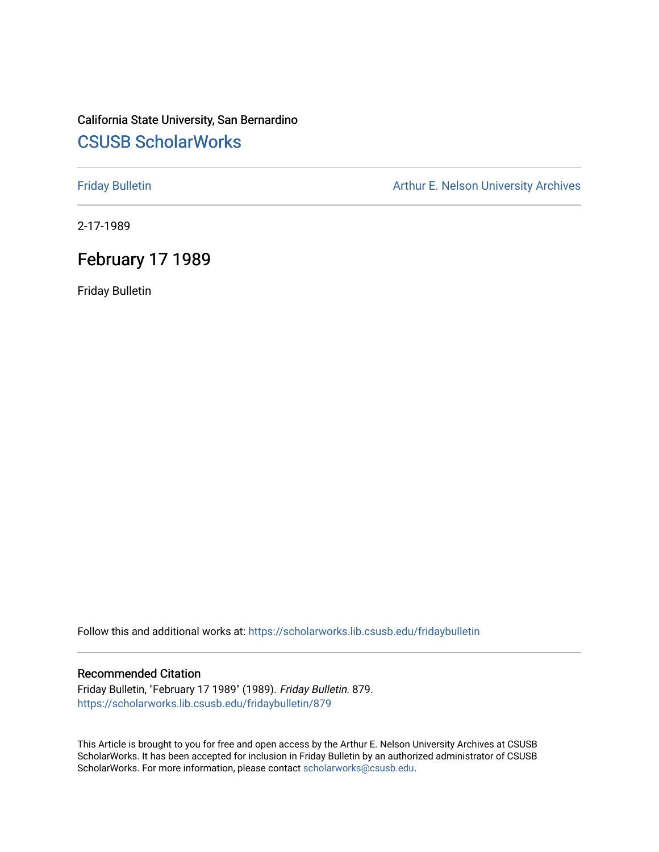### California State University, San Bernardino [CSUSB ScholarWorks](https://scholarworks.lib.csusb.edu/)

[Friday Bulletin](https://scholarworks.lib.csusb.edu/fridaybulletin) **Arthur E. Nelson University Archives** Arthur E. Nelson University Archives

2-17-1989

### February 17 1989

Friday Bulletin

Follow this and additional works at: [https://scholarworks.lib.csusb.edu/fridaybulletin](https://scholarworks.lib.csusb.edu/fridaybulletin?utm_source=scholarworks.lib.csusb.edu%2Ffridaybulletin%2F879&utm_medium=PDF&utm_campaign=PDFCoverPages)

#### Recommended Citation

Friday Bulletin, "February 17 1989" (1989). Friday Bulletin. 879. [https://scholarworks.lib.csusb.edu/fridaybulletin/879](https://scholarworks.lib.csusb.edu/fridaybulletin/879?utm_source=scholarworks.lib.csusb.edu%2Ffridaybulletin%2F879&utm_medium=PDF&utm_campaign=PDFCoverPages)

This Article is brought to you for free and open access by the Arthur E. Nelson University Archives at CSUSB ScholarWorks. It has been accepted for inclusion in Friday Bulletin by an authorized administrator of CSUSB ScholarWorks. For more information, please contact [scholarworks@csusb.edu.](mailto:scholarworks@csusb.edu)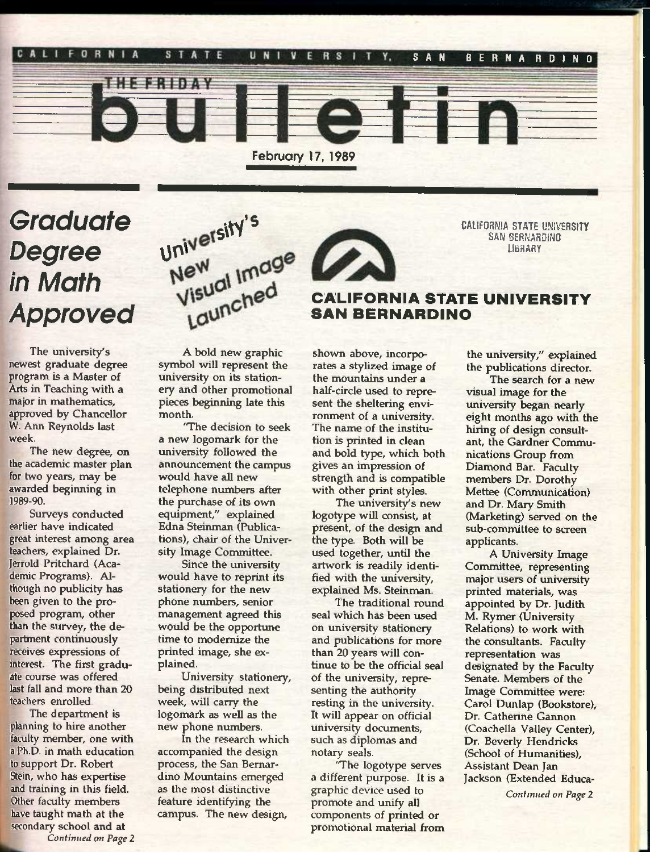

# *Graduate Degree in Math Approved*

**The university's newest graduate degree program is a Master of Arts in Teaching with a major in mathematics, approved by Chancellor W. Ann Reynolds last week.** 

**The new degree, on the academic master plan for two years, may be awarded beginning in**  1989-90.

**Surveys conducted earlier have indicated great interest among area teachers, explained Dr. Jerrold Pritchard (Academic Programs). Although no publicity has been given to the proposed program, other than the survey, the department continuously receives expressions of**  interest. The first gradu**ate course was offered last fall and more than 20 teachers enrolled.** 

**The department is planning to hire another faculty member, one with a Ph.D. in math education to support Dr. Robert Stein, who has expertise and training in this field. Other faculty members have taught math at the secondary school and at** 





CALIFORNIA STATE UNIVERSITY SAN BERNARDINO LIBRARY

#### CALIFORNIA STATE UNIVERSITY SAN BERNARDINO

**A bold new graphic symbol will represent the university on its stationery and other promotional pieces beginning late this month.** 

**'The decision to seek a new logomark for the university followed the announcement the campus would have all new telephone numbers after the purchase of its own equipment," explained Edna Steinman (Publications), chair of the University Image Committee.** 

**Since the university would have to reprint its stationery for the new phone numbers, senior management agreed this would be the opportune time to modernize the printed image, she explained,** 

**University stationery, being distributed next week, will carry the logomark as well as the new phone numbers.** 

**In the research which accompanied the design process, the San Bernardino Mountains emerged as the most distinctive feature identifying the campus. The new design.** 

**shown above, incorporates a stylized image of the mountains under a half-circle used to represent the sheltering environment of a university. The name of the institution is printed in clean and bold type, which both gives an impression of strength and is compatible with other print styles.** 

The university's new **logotype will consist, at present, of the design and the type. Both will be used together, until the artwork is readily identified with the university, explained Ms. Steinman.** 

**The traditional round seal which has been used on university stationery and publications for more than 20 years will continue to be the official seal of the university, representing the authority resting in the university. It will appear on official university documents, such as diplomas and notary seals.** 

**'The logotype serves a different purpose. It is a graphic device used to promote and unify all components of printed or promotional material from**  **the university," explained the publications director.** 

**The search for a new visual image for the university began nearly eight months ago with the hiring of design consultant, the Gardner Communications Group from Diamond Bar. Faculty members Dr. Dorothy Mettee (Communication) and Dr. Mary Smith (Marketing) served on the sub-committee to screen applicants.** 

**A University Image Committee, representing nnajor users of university printed materials, was appointed by Dr. Judith M. Rymer (University Relations) to work with the consultants. Faculty representation was designated by the Faculty Senate. Members of the Image Committee were: Carol Dunlap (Bookstore), Dr. Catherine Gannon (Coachella Valley Center), Dr. Beverly Hendricks (School of Humanities), Assistant Dean Jan Jackson (Extended Educa-**

*Continued on Page 2*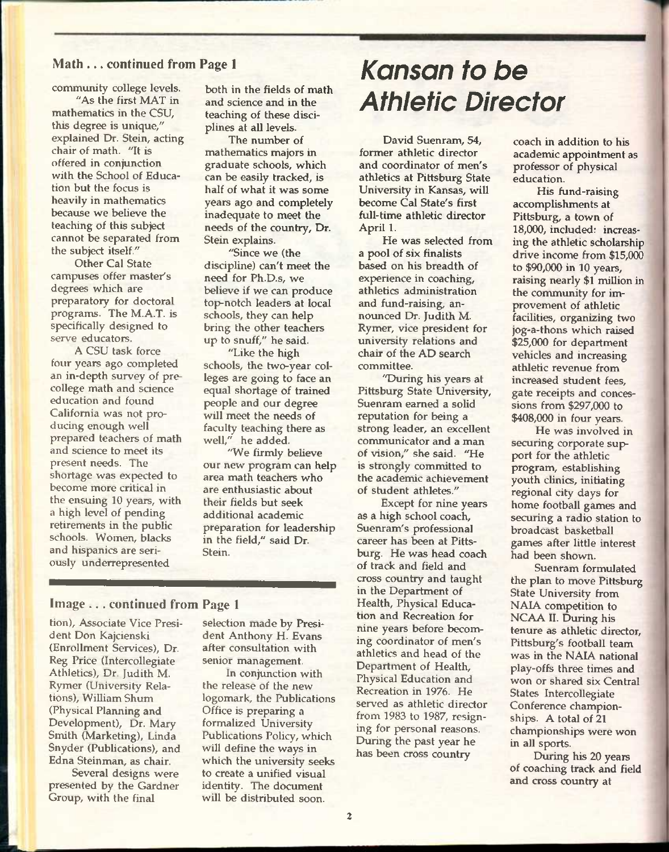**"As the first MAT in mathematics in the CSU, this degree is unique," explained Dr. Stein, acting chair of math. "It is offered in conjunction with the School of Education but the focus is heavily in mathematics because we believe the teaching of this subject cannot be separated from the subject itself."** 

**Other Cal State campuses offer master's degrees which are preparatory for doctoral programs. The M.A.T. is specifically designed to serve educators.** 

**A CSU task force four years ago completed an in-depth survey of precollege math and science education and found California was not producing enough well prepared teachers of math and science to meet its present needs. The shortage was expected to become more critical in the ensuing 10 years, with a high level of pending retirements in the public schools. Women, blacks and hispanics are seriously underrepresented** 

**both in the fields of math and science and in the teaching of these disciplines at all levels.** 

**The number of mathematics majors in graduate schools, which can be easily tracked, is half of what it was some years ago and completely inadequate to meet the needs of the country. Dr. Stein explains.** 

**"Since we (the discipline) can't meet the need for Ph.D.s, we believe if we can produce top-notch leaders at local schools, they can help bring the other teachers up to snuff," he said.** 

**"Like the high schools, the two-year colleges are going to face an equal shortage of trained people and our degree will meet the needs of faculty teaching there as well," he added.** 

**"We firmly believe our new program can help area math teachers who are enthusiastic about their fields but seek additional academic preparation for leadership in the field," said Dr. Stein.** 

#### Image . . . continued from Page 1

**tion). Associate Vice President Don Kajcienski (Enrollment Services), Dr. Reg Price (Intercollegiate Athletics), Dr. Judith M. Rymer (University Relations), William Shum (Physical Planning and Development), Dr. Mary Smith (Marketing), Linda Snyder (Publications), and Edna Steinman, as chair.** 

**Several designs were presented by the Gardner Group, with the final** 

**selection made by President Anthony H. Evans after consultation with senior management.** 

**In conjunction with the release of the new logomark, the Publications Office is preparing a formalized University Publications Policy, which will define the ways in which the university seeks to create a unified visual identity. The document will be distributed soon.** 

# Math ... continued from Page 1 *Kansan to be kommunity college levels.* both in the fields of math **Athletic Director**

**David Suenram, 54, former athletic director and coordinator of men's athletics at Pittsburg State University in Kansas, will become Cal State's first full-time athletic director April 1.** 

**He was selected from a pool of six finalists based on his breadth of experience in coaching, athletics administration and fund-raising, announced Dr. Judith M. Rymer, vice president for university relations and chair of the AD search committee.** 

**"During his years at Pittsburg State University, Suenram earned a solid reputation for being a strong leader, an excellent communicator and a man of vision," she said. "He is strongly committed to the academic achievement of student athletes."** 

**Except for nine years as a high school coach, Suenram's professional career has been at Pittsburg. He was head coach of track and field and cross country and taught in the Department of Health, Physical Education and Recreation for nine years before becoming coordinator of men's athletics and head of the Department of Health, Physical Education and Recreation in 1976. He served as athletic director from 1983 to 1987, resigning for personal reasons. During the past year he has been cross country** 

**coach in addition to his academic appointment as professor of physical education.** 

**His fund-raising accomplishments at Pittsburg, a town of 18,000, included: increasing the athletic scholarship drive income from \$15,000 to \$90,000 in 10 years, raising nearly \$1 million in the community for improvement of athletic facilities, organizing two jog-a-thons which raised \$25,000 for department vehicles and increasing athletic revenue from increased student fees, gate receipts and concessions from \$297,000 to \$408,000 in four years.** 

**He was involved in securing corporate support for the athletic program, establishing youth clinics, initiating regional city days for home football games and securing a radio station to broadcast basketball games after little interest had been shown.** 

**Suenram formulated the plan to move Pittsburg State University from NAIA competition to NCAA II. During his tenure as athletic director, Pittsburg's football team was in the NAIA national play-offs three times and won or shared six Central States Intercollegiate Conference championships. A total of 21 championships were won in all sports.** 

**During his 20 years of coaching track and field and cross country at**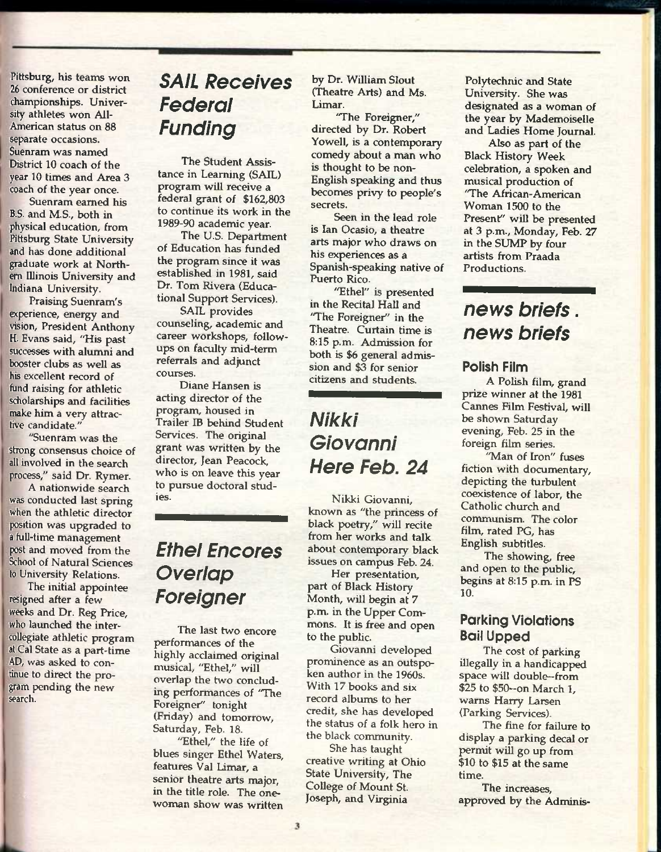**Pittsburg, his teams won 26 conference or district championships. University athletes won Ail-American status on 88 separate occasions. Suenram was named District 10 coach of the year 10 times and Area 3 coach of the year once.** 

**Suenram earned his B.S. and M.S., both in physical education, from Pittsburg State University and has done additional graduate work at Northem Illinois University and Indiana University.** 

**Praising Suenram's experience, energy and vision, President Anthony H. Evans said, "His past successes with alumni and booster clubs as well as his excellent record of fund raising for athletic scholarships and facilities make him a very attractive candidate."** 

**"Suenram was the strong consensus choice of all involved in the search process," said Dr. Rymer.** 

**A nationwide search was conducted last spring when the athletic director position was upgraded to a full-time management post and moved from the School of Natural Sciences to University Relations.** 

**The initial appointee resigned after a few weeks and Dr. Reg Price, who launched the intercollegiate athletic program at Cal State as a part-time AD, was asked to continue to direct the program pending the new search.** 

### *SAIL Receives Federal Funding*

**The Student Assistance in Learning (SAIL) program will receive a federal grant of \$162,803 to continue its work in the 1989-90 academic year.** 

**The U.S. Department of Education has funded the program since it was established in 1981, said Dr. Tom Rivera (Educational Support Services).** 

**SAIL provides counseling, academic and career workshops, followups on faculty mid-term referrals and adjunct courses.** 

**Diane Hansen is acting director of the program, housed in Trailer IB behind Student Services. The original grant was written by the director, Jean Peacock, who is on leave this year to pursue doctoral studies.** 

### *Ethel Encores Overlap Foreigner*

**The last two encore performances of the highly acclaimed original musical, "Ethel," will overlap the two concluding performances of "The Foreigner" tonight (Friday) and tomorrow, Saturday, Feb. 18.** 

**"Ethel," the life of blues singer Ethel Waters, features Val Limar, a senior theatre arts major, in the title role. The onewoman show was written** 

**by Dr. William Slout (Theatre Arts) and Ms. Limar.** 

**'The Foreigner," directed by Dr. Robert Yowell, is a contemporary comedy about a man who is thought to be non-English speaking and thus becomes privy to people's secrets.** 

**Seen in the lead role is Ian Ocasio, a theatre arts major who draws on his experiences as a Spanish-speaking native of**  Puerto Rico.

**"Ethel" is presented in the Recital Hall and 'The Foreigner" in the Theatre. Curtain time is 8:15 p.m. Admission for both is \$6 general admission and \$3 for senior citizens and students.** 

### *NIkki Giovanni Here Feb. 24*

**Nikki Giovanni, known as "the princess of black poetry," will recite from her works and talk about contemporary black issues on campus Feb. 24.** 

**Her presentation, part of Black History Month, will begin at 7 p.m. in the Upper Commons. It is free and open to the public.** 

**Giovanni developed prominence as an outspoken author in the 1960s. With 17 books and six record albums to her credit, she has developed the status of a folk hero in the black community.** 

**She has taught creative writing at Ohio State University, The College of Mount St. Joseph, and Virginia** 

**Polytechnic and State University. She was designated as a woman of the year by Mademoiselle and Ladies Home Journal.** 

**Also as part of the Black History Week celebration, a spoken and musical production of**  'The African-American **Woman 1500 to the Present" will be presented at 3 p.m., Monday, Feb. 27 in the SUMP by four artists from Praada Productions.** 

### *news briefs. news briefs*

#### Polish Film

**A Polish film, grand prize winner at the 1981 Cannes Film Festival, will be shown Saturday evening, Feb. 25 in the foreign film series.** 

**"Man of Iron" fuses fiction with documentary, depicting the turbulent coexistence of labor, the Catholic church and communism. The color film, rated PG, has English subtitles.** 

**The showing, free and open to the public, begins at 8:15 p.m. in PS 10.** 

#### Parking Violations **Bail Upped**

**The cost of parking illegally in a handicapped space will double—from \$25 to \$50—on March 1, warns Harry Larsen (Parking Services).** 

**The fine for failure to display a parking decal or permit will go up from \$10 to \$15 at the same time.** 

**The increases, approved by the Adminis-**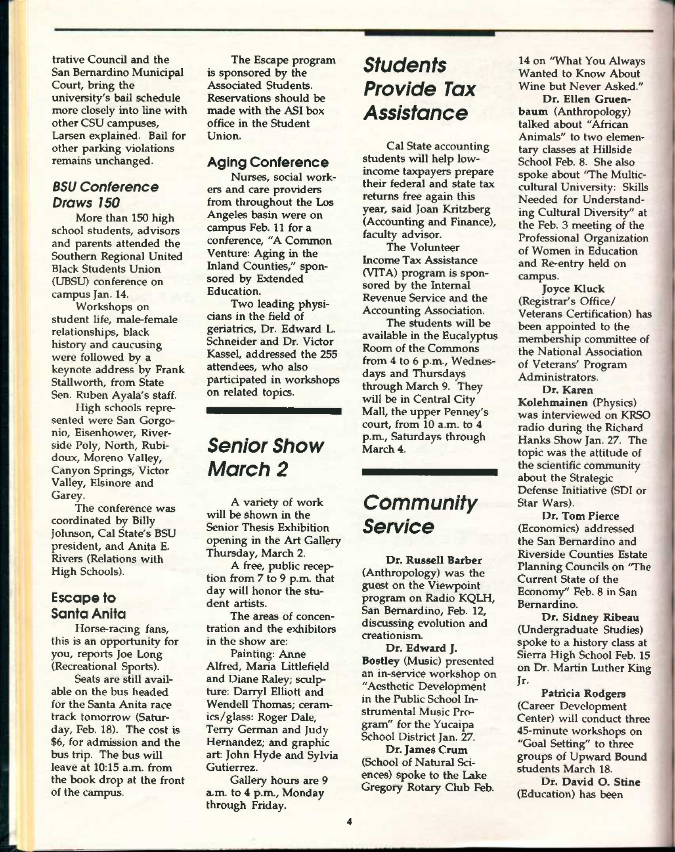**trative Council and the San Bernardino Municipal Court, bring the university's bail schedule more closely into line with other CSU campuses,**  Larsen explained. Bail for **other parking violations remains unchanged.** 

#### *BSU Conference Draws 150*

**More than 150 high school students, advisors and parents attended the Southern Regional United Black Students Union (UBSU) conference on campus Jan. 14.** 

**Workshops on student life, male-female relationships, black history and caucusing were followed by a keynote address by Frank Stallworth, from State Sen. Ruben Ayala's staff.** 

**High schools represented were San Gorgonio, Eisenhower, Riverside Poly, North, Rubidoux, Moreno Valley, Canyon Springs, Victor Valley, Elsinore and Carey.** 

**The conference was coordinated by Billy Johnson, Cal State's BSU president, and Anita E. Rivers (Relations with High Schools).** 

#### Escape to Santo Anita

**Horse-racing fans, this is an opportunity for you, reports Joe Long (Recreational Sports).** 

**Seats are still available on the bus headed for the Santa Anita race track tomorrow (Saturday, Feb. 18). The cost is \$6, for admission and the bus trip. The bus will leave at 10:15 a.m. from the book drop at the front of the campus.** 

**The Escape program is sponsored by the Associated Students. Reservations should be made with the ASI box office in the Student Union.** 

#### Aging Conference

**Nurses, social workers and care providers from throughout the Los Angeles basin were on campus Feb. 11 for a conference, "A Common Venture: Aging in the Inland Counties," sponsored by Extended Education.** 

**Two leading physicians in the field of geriatrics. Dr. Edward L. Schneider and Dr. Victor Kassel, addressed the 255 attendees, who also participated in workshops on related topics.** 

### *Senior Show March 2*

**A variety of work will be shown in the Senior Thesis Exhibition opening in the Art Gallery Thursday, March 2.** 

**A free, public reception from 7 to 9 p.m. that day will honor the student artists.** 

**The areas of concentration and the exhibitors in the show are:** 

**Painting: Anne Alfred, Maria Littlefield and Diane Raley; sculpture: Darryl Elliott and Wendell Thomas; ceramics/glass: Roger Dale, Terry German and Judy Hernandez; and graphic art: John Hyde and Sylvia Gutierrez.** 

**Gallery hours are 9 a.m. to 4 p.m., Monday through Friday.** 

### *Students Provide Tax Assistance*

**Cal State accounting students will help lowincome taxpayers prepare their federal and state tax returns free again this year, said Joan Kritzberg (Accounting and Finance), faculty advisor.** 

**The Volunteer Income Tax Assistance (VITA) program is sponsored by the Internal Revenue Service and the Accounting Association.** 

**The students will be**  available in the Eucalyptus **Room of the Commons from 4 to 6 p.m., Wednesdays and Thursdays through March 9. They will be in Central City Mall, the upper Penney's court, from 10 a.m. to 4 p.m., Saturdays through March 4.** 

### *Community Service*

**Dr. Russell Barber (Anthropology) was the guest on the Viewpoint program on Radio KQLH, San Bernardino, Feb. 12, discussing evolution and creationism.** 

**Dr. Edward J. Bostley (Music) presented an in-service workshop on "Aesthetic Development in the Public School Instrumental Music Program" for the Yucaipa School District Jan. 27.** 

**Dr. James Crum (School of Natural Sciences) spoke to the Lake Gregory Rotary Club Feb.**  **14 on "What You Always Wanted to Know About Wine but Never Asked."** 

**Dr. Ellen Gruenbaum (Anthropology) talked about "African Animals" to two elementary classes at Hillside School Feb. 8. She also spoke about 'The Multiccultural University: Skills Needed for Understanding Cultural Diversity" at the Feb. 3 meeting of the Professional Organization of Women in Education and Re-entry held on campus.** 

**Joyce Kluck (Registrar's Office/ Veterans Certification) has been appointed to the membership committee of the National Association of Veterans' Program Administrators.** 

**Dr. Karen Kolehmainen (Physics) was interviewed on KRSO radio during the Richard Hanks Show Jan. 27. The topic was the attitude of the scientific community about the Strategic Defense Initiative (SDI or Star Wars).** 

**Dr. Tom Pierce (Economics) addressed the San Bernardino and Riverside Counties Estate Planning Councils on 'The Current State of the Economy" Feb. 8 in San Bernardino.** 

**Dr. Sidney Ribeau (Undergraduate Studies) spoke to a history class at Sierra High School Feb. 15 on Dr. Martin Luther King Jr-**

**Patricia Rodgers (Career Development Center) will conduct three 45-minute workshops on "Goal Setting" to three groups of Upward Bound students March 18.** 

**Dr. David O. Stine (Education) has been**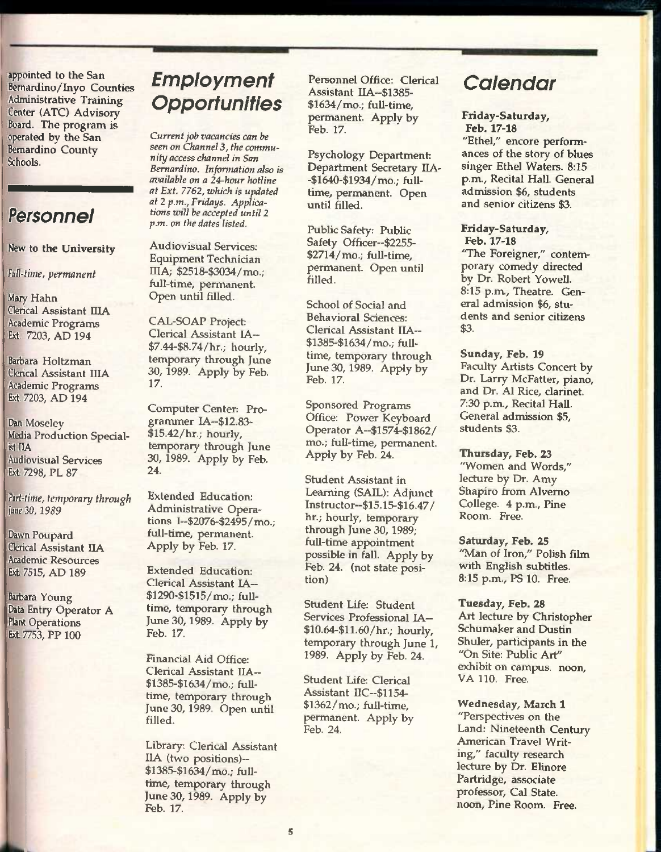**appointed to the San Bemardino/Inyo Coxmties Administrative Training Center (ATC) Advisory Board. The program is operated by the San Bernardino County Schools.** 

### *Personnel*

#### **New to the University**

*Full-time, permanent* 

**Mary Hahn Clerical Assistant IIIA Academic Programs Ext. 7203, AD 194** 

**Barbara Holtzman Clerical Assistant IIIA Academic Programs Ext. 7203, AD 194** 

**Dan Moseley Media Production Specialist HA Audiovisual Services Ext. 7298, PL 87** 

*Part-time, temporary through juneSO, 1989* 

**Dawn Poupard Qerical Assistant IIA Academic Resources Ext. 7515, AD 189** 

**Barbara Young Data Entry Operator A Plant Operations Ext. 7753, PP 100** 

## *Employment Opportunities*

*Current job vacancies can be seen on Channel* **3,** *the community access channel in San Bernardino. Information also is available on a 24-hour hotline at Ext. 7762, which is updated at 2 p.m., Fridays. Applications will be accepted until 2 p.m. on the dates listed.* 

**Audiovisual Services: Equipment Technician IIIA; \$2518-\$3034/mo.; full-time, permanent. Open until filled.** 

**CAL-SOAP Project; Clerical Assistant lA— \$7.44-\$8.74/hr.; hourly, temporary through June 30, 1989. Apply by Feb. 17.** 

**Computer Center: Programmer IA~\$12.83- \$15.42/hr.; hourly, temporary through June 30, 1989. Apply by Feb. 24.** 

**Extended Education: Administrative Operations I~\$2076-\$2495/mo.; full-time, permanent. Apply by Feb. 17.** 

**Extended Education: Clerical Assistant lA— \$1290-\$1515/mo.; fulltime, temporary through Jime 30,1989. Apply by Feb. 17.** 

**Financial Aid Office: Clerical Assistant IIA— \$1385-\$1634/mo.; fuUtime, temporary through June 30, 1989. Open until filled.** 

**Library: Clerical Assistant IIA (two positions)— \$1385-\$1634/mo.; fulltime, temporary through June 30,1989. Apply by Feb. 17.** 

**Personnel Office: Clerical Assistant IIA~\$1385- \$1634/mo.; full-time, permanent. Apply by Feb. 17.** 

**Psychology Department: Department Secretary IIA- -\$1640-\$1934/mo.; fulltime, permanent. Open until filled.** 

**Public Safety; Public Safety Officer~\$2255- \$2714/mo.; full-time, permanent. Open until filled.** 

**School of Social and Behavioral Sciences: Clerical Assistant IIA~ \$1385-\$1634/mo.; fulltime, temporary through June 30, 1989. Apply by Feb. 17.** 

**Sponsored Programs Office: Power Keyboard Operator A~\$1574-\$1862/ mo.; full-time, permanent. Apply by Feb. 24.** 

**Student Assistant in Learning (SAIL): Adjunct Instructor~\$15.15-\$16.47/ hr.; hourly, temporary through June 30, 1989; full-time appointment possible in fall. Apply by Feb. 24. (not state position)** 

**Student Life: Student Services Professional IA~ \$10.64-\$11.60/hr.; hourly, temporary through June 1, 1989. Apply by Feb. 24.** 

**Student Life: Clerical Assistant nC~\$1154- \$1362/mo.; full-time, permanent. Apply by Feb. 24.** 

### *Calendar*

#### **Friday-Saturday, Feb. 17-18**

**"Ethel," encore performances of the story of blues singer Ethel Waters. 8:15 p.m.. Recital Hall. General admission \$6, students and senior citizens \$3.** 

**Friday-Saturday, Feb. 17-18** 

**'The Foreigner," contemporary comedy directed by Dr. Robert Yowell. 8:15 p.m.. Theatre. General admission \$6, students and senior citizens \$3.** 

**Sunday, Feb. 19 Faculty Artists Concert by Dr. Larry McFatter, piano, and Dr. A1 Rice, clarinet. 7:30 p.m., Recital Hall. General admission \$5, students \$3.** 

**Thursday, Feb. 23 "Women and Words," lecture by Dr. Amy Shapiro from Alvemo College. 4 p.m.. Pine Room. Free.** 

**Satitrday, Feb. 25 "Man of Iron," Polish film with English subtitles. 8:15 p.m., PS 10. Free.** 

**Tuesday, Feb. 28 Art lecture by Christopher Schumaker and Dustin Shuler, participants in the "On Site: Public Art" exhibit on campus, noon, VA 110. Free.** 

**Wednesday, March 1 "Perspectives on the Land: Nineteenth Century American Travel Writing," faculty research lecture by Dr. Elinore Partridge, associate professor, Cal State, noon. Pine Room. Free.**